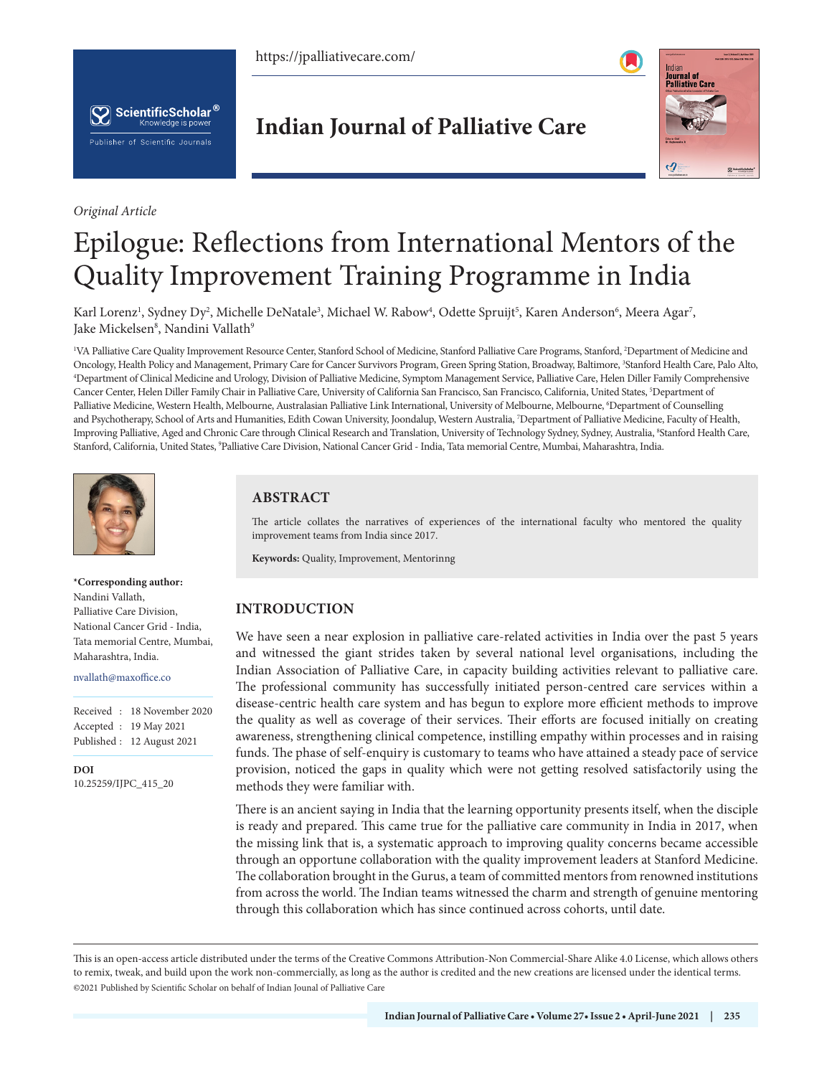https://jpalliativecare.com/





*Original Article*

**Indian Journal of Palliative Care**



# Epilogue: Reflections from International Mentors of the Quality Improvement Training Programme in India

Karl Lorenz<sup>ı</sup>, Sydney Dy<sup>2</sup>, Michelle DeNatale<sup>3</sup>, Michael W. Rabow<sup>4</sup>, Odette Spruijt<sup>5</sup>, Karen Anderson<sup>6</sup>, Meera Agar<sup>7</sup>, Jake Mickelsen<sup>8</sup>, Nandini Vallath<sup>9</sup>

<sup>1</sup>VA Palliative Care Quality Improvement Resource Center, Stanford School of Medicine, Stanford Palliative Care Programs, Stanford, <sup>2</sup>Department of Medicine and Oncology, Health Policy and Management, Primary Care for Cancer Survivors Program, Green Spring Station, Broadway, Baltimore, <sup>3</sup>Stanford Health Care, Palo Alto,<br><sup>4</sup>Department of Clinical Medicine and Urology Division of P <sup>4</sup>Department of Clinical Medicine and Urology, Division of Palliative Medicine, Symptom Management Service, Palliative Care, Helen Diller Family Comprehensive Cancer Center, Helen Diller Family Chair in Palliative Care, University of California San Francisco, San Francisco, California, United States, <sup>5</sup>Department of Palliative Medicine, Western Health, Melbourne, Australasian Palliative Link International, University of Melbourne, Melbourne, 6 Department of Counselling and Psychotherapy, School of Arts and Humanities, Edith Cowan University, Joondalup, Western Australia, 7 Department of Palliative Medicine, Faculty of Health, Improving Palliative, Aged and Chronic Care through Clinical Research and Translation, University of Technology Sydney, Sydney, Australia, 8 Stanford Health Care, Stanford, California, United States, 9 Palliative Care Division, National Cancer Grid - India, Tata memorial Centre, Mumbai, Maharashtra, India.



**\*Corresponding author:** Nandini Vallath, Palliative Care Division, National Cancer Grid - India, Tata memorial Centre, Mumbai,

Maharashtra, India. nvallath@maxoffice.co

**DOI**

Received : 18 November 2020 Accepted : 19 May 2021 Published : 12 August 2021

[10.25259/IJPC\\_415\\_20](https://dx.doi.org/10.25259/IJPC_415_2020)

# **ABSTRACT**

The article collates the narratives of experiences of the international faculty who mentored the quality improvement teams from India since 2017.

**Keywords:** Quality, Improvement, Mentorinng

# **INTRODUCTION**

We have seen a near explosion in palliative care-related activities in India over the past 5 years and witnessed the giant strides taken by several national level organisations, including the Indian Association of Palliative Care, in capacity building activities relevant to palliative care. The professional community has successfully initiated person-centred care services within a disease-centric health care system and has begun to explore more efficient methods to improve the quality as well as coverage of their services. Their efforts are focused initially on creating awareness, strengthening clinical competence, instilling empathy within processes and in raising funds. The phase of self-enquiry is customary to teams who have attained a steady pace of service provision, noticed the gaps in quality which were not getting resolved satisfactorily using the methods they were familiar with.

There is an ancient saying in India that the learning opportunity presents itself, when the disciple is ready and prepared. This came true for the palliative care community in India in 2017, when the missing link that is, a systematic approach to improving quality concerns became accessible through an opportune collaboration with the quality improvement leaders at Stanford Medicine. The collaboration brought in the Gurus, a team of committed mentors from renowned institutions from across the world. The Indian teams witnessed the charm and strength of genuine mentoring through this collaboration which has since continued across cohorts, until date.

This is an open-access article distributed under the terms of the Creative Commons Attribution-Non Commercial-Share Alike 4.0 License, which allows others to remix, tweak, and build upon the work non-commercially, as long as the author is credited and the new creations are licensed under the identical terms. ©2021 Published by Scientific Scholar on behalf of Indian Jounal of Palliative Care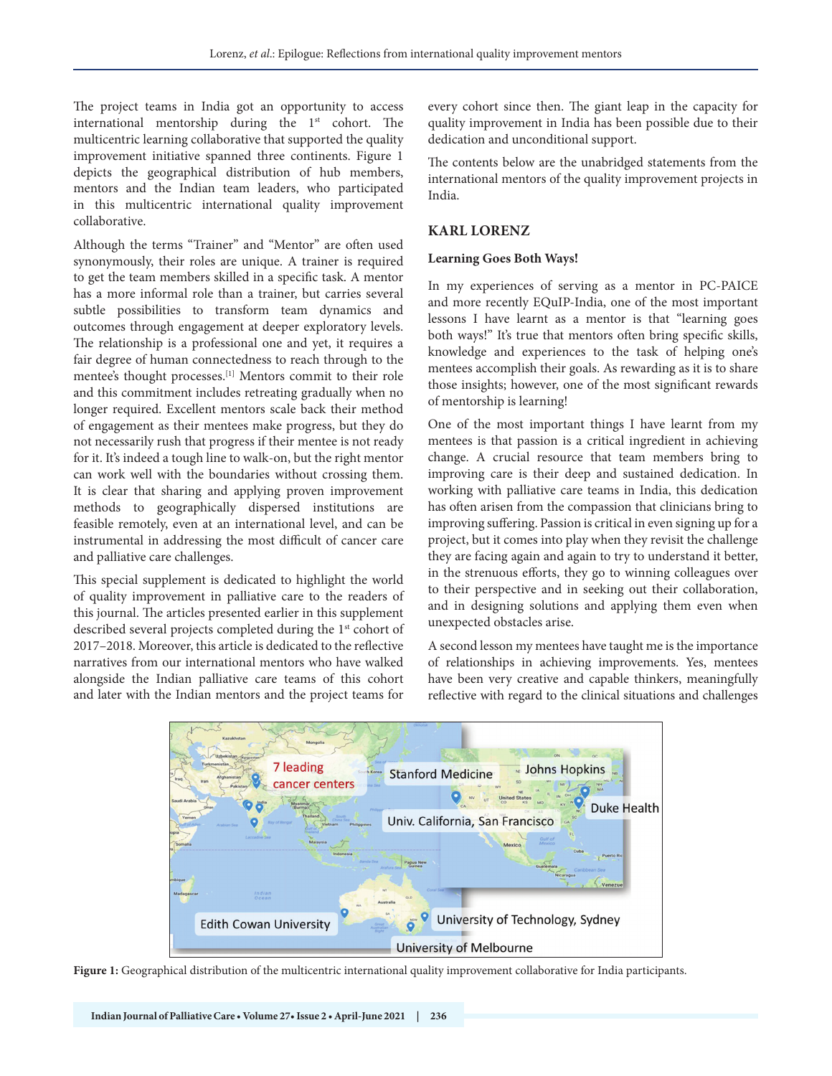The project teams in India got an opportunity to access international mentorship during the 1<sup>st</sup> cohort. The multicentric learning collaborative that supported the quality improvement initiative spanned three continents. Figure 1 depicts the geographical distribution of hub members, mentors and the Indian team leaders, who participated in this multicentric international quality improvement collaborative.

Although the terms "Trainer" and "Mentor" are often used synonymously, their roles are unique. A trainer is required to get the team members skilled in a specific task. A mentor has a more informal role than a trainer, but carries several subtle possibilities to transform team dynamics and outcomes through engagement at deeper exploratory levels. The relationship is a professional one and yet, it requires a fair degree of human connectedness to reach through to the mentee's thought processes.[1] Mentors commit to their role and this commitment includes retreating gradually when no longer required. Excellent mentors scale back their method of engagement as their mentees make progress, but they do not necessarily rush that progress if their mentee is not ready for it. It's indeed a tough line to walk-on, but the right mentor can work well with the boundaries without crossing them. It is clear that sharing and applying proven improvement methods to geographically dispersed institutions are feasible remotely, even at an international level, and can be instrumental in addressing the most difficult of cancer care and palliative care challenges.

This special supplement is dedicated to highlight the world of quality improvement in palliative care to the readers of this journal. The articles presented earlier in this supplement described several projects completed during the 1<sup>st</sup> cohort of 2017–2018. Moreover, this article is dedicated to the reflective narratives from our international mentors who have walked alongside the Indian palliative care teams of this cohort and later with the Indian mentors and the project teams for

every cohort since then. The giant leap in the capacity for quality improvement in India has been possible due to their dedication and unconditional support.

The contents below are the unabridged statements from the international mentors of the quality improvement projects in India.

#### **KARL LORENZ**

#### **Learning Goes Both Ways!**

In my experiences of serving as a mentor in PC-PAICE and more recently EQuIP-India, one of the most important lessons I have learnt as a mentor is that "learning goes both ways!" It's true that mentors often bring specific skills, knowledge and experiences to the task of helping one's mentees accomplish their goals. As rewarding as it is to share those insights; however, one of the most significant rewards of mentorship is learning!

One of the most important things I have learnt from my mentees is that passion is a critical ingredient in achieving change. A crucial resource that team members bring to improving care is their deep and sustained dedication. In working with palliative care teams in India, this dedication has often arisen from the compassion that clinicians bring to improving suffering. Passion is critical in even signing up for a project, but it comes into play when they revisit the challenge they are facing again and again to try to understand it better, in the strenuous efforts, they go to winning colleagues over to their perspective and in seeking out their collaboration, and in designing solutions and applying them even when unexpected obstacles arise.

A second lesson my mentees have taught me is the importance of relationships in achieving improvements. Yes, mentees have been very creative and capable thinkers, meaningfully reflective with regard to the clinical situations and challenges



**Figure 1:** Geographical distribution of the multicentric international quality improvement collaborative for India participants.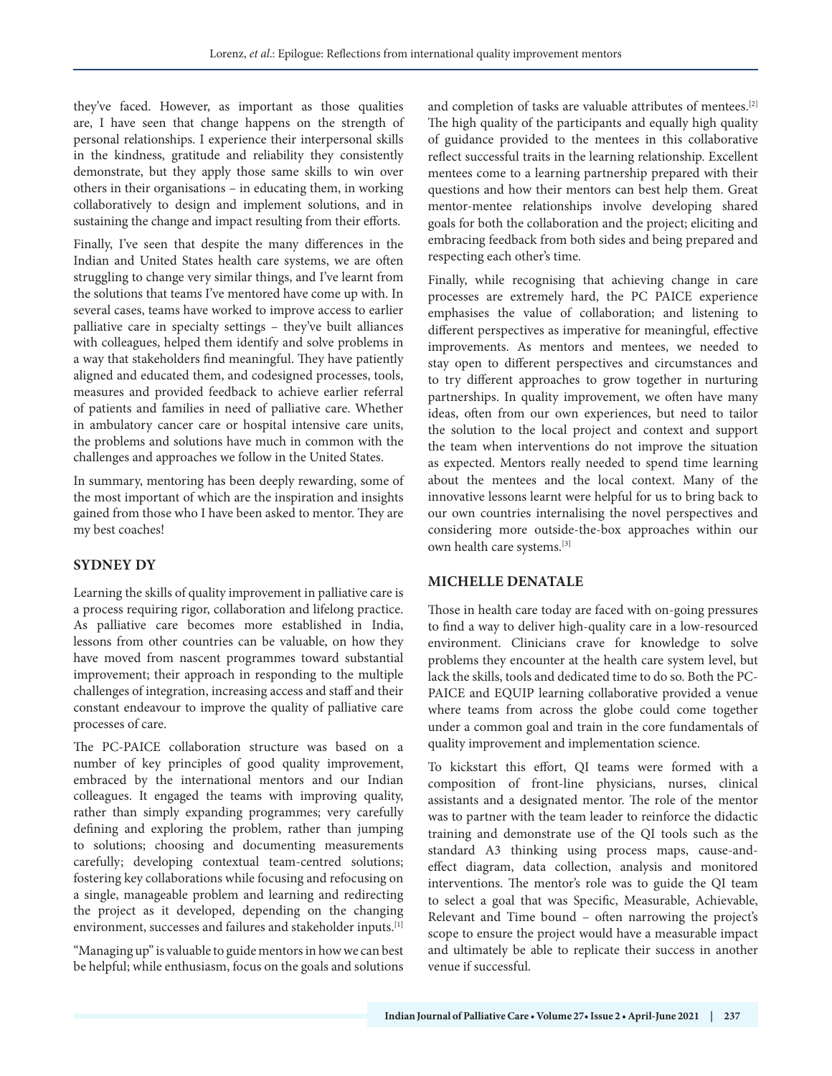they've faced. However, as important as those qualities are, I have seen that change happens on the strength of personal relationships. I experience their interpersonal skills in the kindness, gratitude and reliability they consistently demonstrate, but they apply those same skills to win over others in their organisations – in educating them, in working collaboratively to design and implement solutions, and in sustaining the change and impact resulting from their efforts.

Finally, I've seen that despite the many differences in the Indian and United States health care systems, we are often struggling to change very similar things, and I've learnt from the solutions that teams I've mentored have come up with. In several cases, teams have worked to improve access to earlier palliative care in specialty settings – they've built alliances with colleagues, helped them identify and solve problems in a way that stakeholders find meaningful. They have patiently aligned and educated them, and codesigned processes, tools, measures and provided feedback to achieve earlier referral of patients and families in need of palliative care. Whether in ambulatory cancer care or hospital intensive care units, the problems and solutions have much in common with the challenges and approaches we follow in the United States.

In summary, mentoring has been deeply rewarding, some of the most important of which are the inspiration and insights gained from those who I have been asked to mentor. They are my best coaches!

# **SYDNEY DY**

Learning the skills of quality improvement in palliative care is a process requiring rigor, collaboration and lifelong practice. As palliative care becomes more established in India, lessons from other countries can be valuable, on how they have moved from nascent programmes toward substantial improvement; their approach in responding to the multiple challenges of integration, increasing access and staff and their constant endeavour to improve the quality of palliative care processes of care.

The PC-PAICE collaboration structure was based on a number of key principles of good quality improvement, embraced by the international mentors and our Indian colleagues. It engaged the teams with improving quality, rather than simply expanding programmes; very carefully defining and exploring the problem, rather than jumping to solutions; choosing and documenting measurements carefully; developing contextual team-centred solutions; fostering key collaborations while focusing and refocusing on a single, manageable problem and learning and redirecting the project as it developed, depending on the changing environment, successes and failures and stakeholder inputs.[1]

"Managing up" is valuable to guide mentors in how we can best be helpful; while enthusiasm, focus on the goals and solutions

and completion of tasks are valuable attributes of mentees.[2] The high quality of the participants and equally high quality of guidance provided to the mentees in this collaborative reflect successful traits in the learning relationship. Excellent mentees come to a learning partnership prepared with their questions and how their mentors can best help them. Great mentor-mentee relationships involve developing shared goals for both the collaboration and the project; eliciting and embracing feedback from both sides and being prepared and respecting each other's time.

Finally, while recognising that achieving change in care processes are extremely hard, the PC PAICE experience emphasises the value of collaboration; and listening to different perspectives as imperative for meaningful, effective improvements. As mentors and mentees, we needed to stay open to different perspectives and circumstances and to try different approaches to grow together in nurturing partnerships. In quality improvement, we often have many ideas, often from our own experiences, but need to tailor the solution to the local project and context and support the team when interventions do not improve the situation as expected. Mentors really needed to spend time learning about the mentees and the local context. Many of the innovative lessons learnt were helpful for us to bring back to our own countries internalising the novel perspectives and considering more outside-the-box approaches within our own health care systems.[3]

# **MICHELLE DENATALE**

Those in health care today are faced with on-going pressures to find a way to deliver high-quality care in a low-resourced environment. Clinicians crave for knowledge to solve problems they encounter at the health care system level, but lack the skills, tools and dedicated time to do so. Both the PC-PAICE and EQUIP learning collaborative provided a venue where teams from across the globe could come together under a common goal and train in the core fundamentals of quality improvement and implementation science.

To kickstart this effort, QI teams were formed with a composition of front-line physicians, nurses, clinical assistants and a designated mentor. The role of the mentor was to partner with the team leader to reinforce the didactic training and demonstrate use of the QI tools such as the standard A3 thinking using process maps, cause-andeffect diagram, data collection, analysis and monitored interventions. The mentor's role was to guide the QI team to select a goal that was Specific, Measurable, Achievable, Relevant and Time bound – often narrowing the project's scope to ensure the project would have a measurable impact and ultimately be able to replicate their success in another venue if successful.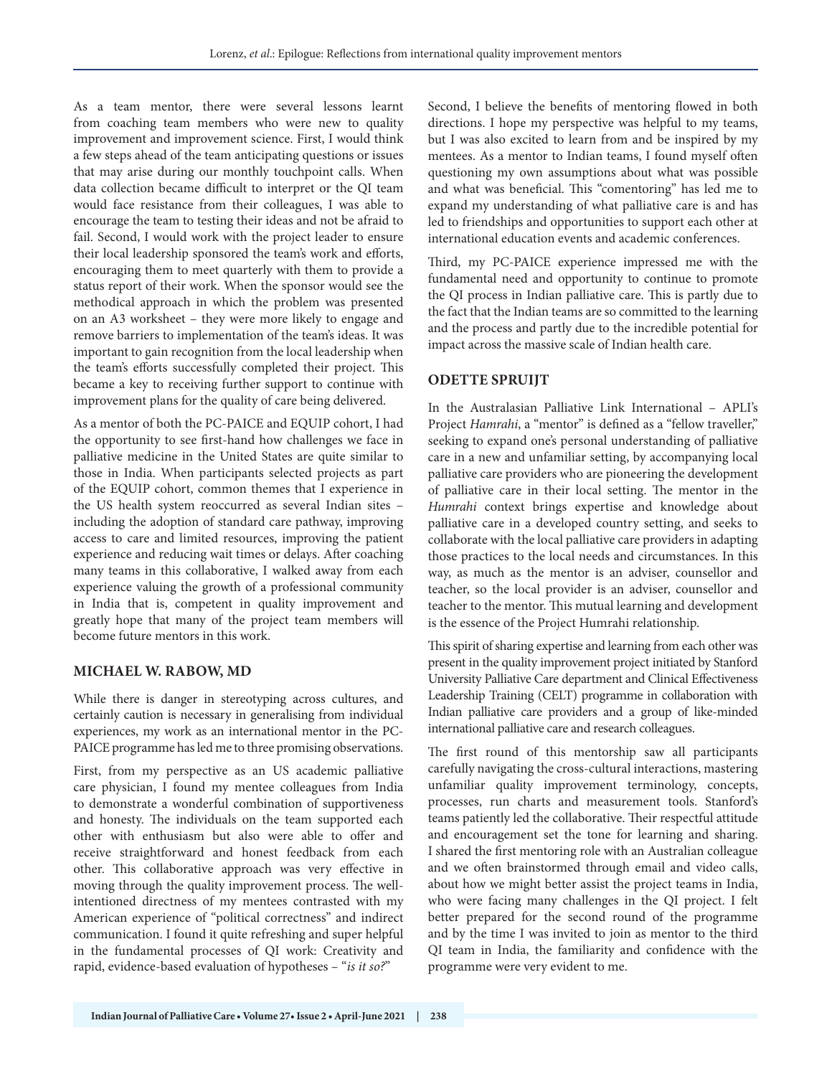As a team mentor, there were several lessons learnt from coaching team members who were new to quality improvement and improvement science. First, I would think a few steps ahead of the team anticipating questions or issues that may arise during our monthly touchpoint calls. When data collection became difficult to interpret or the QI team would face resistance from their colleagues, I was able to encourage the team to testing their ideas and not be afraid to fail. Second, I would work with the project leader to ensure their local leadership sponsored the team's work and efforts, encouraging them to meet quarterly with them to provide a status report of their work. When the sponsor would see the methodical approach in which the problem was presented on an A3 worksheet – they were more likely to engage and remove barriers to implementation of the team's ideas. It was important to gain recognition from the local leadership when the team's efforts successfully completed their project. This became a key to receiving further support to continue with improvement plans for the quality of care being delivered.

As a mentor of both the PC-PAICE and EQUIP cohort, I had the opportunity to see first-hand how challenges we face in palliative medicine in the United States are quite similar to those in India. When participants selected projects as part of the EQUIP cohort, common themes that I experience in the US health system reoccurred as several Indian sites – including the adoption of standard care pathway, improving access to care and limited resources, improving the patient experience and reducing wait times or delays. After coaching many teams in this collaborative, I walked away from each experience valuing the growth of a professional community in India that is, competent in quality improvement and greatly hope that many of the project team members will become future mentors in this work.

### **MICHAEL W. RABOW, MD**

While there is danger in stereotyping across cultures, and certainly caution is necessary in generalising from individual experiences, my work as an international mentor in the PC-PAICE programme has led me to three promising observations.

First, from my perspective as an US academic palliative care physician, I found my mentee colleagues from India to demonstrate a wonderful combination of supportiveness and honesty. The individuals on the team supported each other with enthusiasm but also were able to offer and receive straightforward and honest feedback from each other. This collaborative approach was very effective in moving through the quality improvement process. The wellintentioned directness of my mentees contrasted with my American experience of "political correctness" and indirect communication. I found it quite refreshing and super helpful in the fundamental processes of QI work: Creativity and rapid, evidence-based evaluation of hypotheses – "*is it so?*"

Second, I believe the benefits of mentoring flowed in both directions. I hope my perspective was helpful to my teams, but I was also excited to learn from and be inspired by my mentees. As a mentor to Indian teams, I found myself often questioning my own assumptions about what was possible and what was beneficial. This "comentoring" has led me to expand my understanding of what palliative care is and has led to friendships and opportunities to support each other at international education events and academic conferences.

Third, my PC-PAICE experience impressed me with the fundamental need and opportunity to continue to promote the QI process in Indian palliative care. This is partly due to the fact that the Indian teams are so committed to the learning and the process and partly due to the incredible potential for impact across the massive scale of Indian health care.

# **ODETTE SPRUIJT**

In the Australasian Palliative Link International – APLI's Project *Hamrahi*, a "mentor" is defined as a "fellow traveller," seeking to expand one's personal understanding of palliative care in a new and unfamiliar setting, by accompanying local palliative care providers who are pioneering the development of palliative care in their local setting. The mentor in the *Humrahi* context brings expertise and knowledge about palliative care in a developed country setting, and seeks to collaborate with the local palliative care providers in adapting those practices to the local needs and circumstances. In this way, as much as the mentor is an adviser, counsellor and teacher, so the local provider is an adviser, counsellor and teacher to the mentor. This mutual learning and development is the essence of the Project Humrahi relationship.

This spirit of sharing expertise and learning from each other was present in the quality improvement project initiated by Stanford University Palliative Care department and Clinical Effectiveness Leadership Training (CELT) programme in collaboration with Indian palliative care providers and a group of like-minded international palliative care and research colleagues.

The first round of this mentorship saw all participants carefully navigating the cross-cultural interactions, mastering unfamiliar quality improvement terminology, concepts, processes, run charts and measurement tools. Stanford's teams patiently led the collaborative. Their respectful attitude and encouragement set the tone for learning and sharing. I shared the first mentoring role with an Australian colleague and we often brainstormed through email and video calls, about how we might better assist the project teams in India, who were facing many challenges in the QI project. I felt better prepared for the second round of the programme and by the time I was invited to join as mentor to the third QI team in India, the familiarity and confidence with the programme were very evident to me.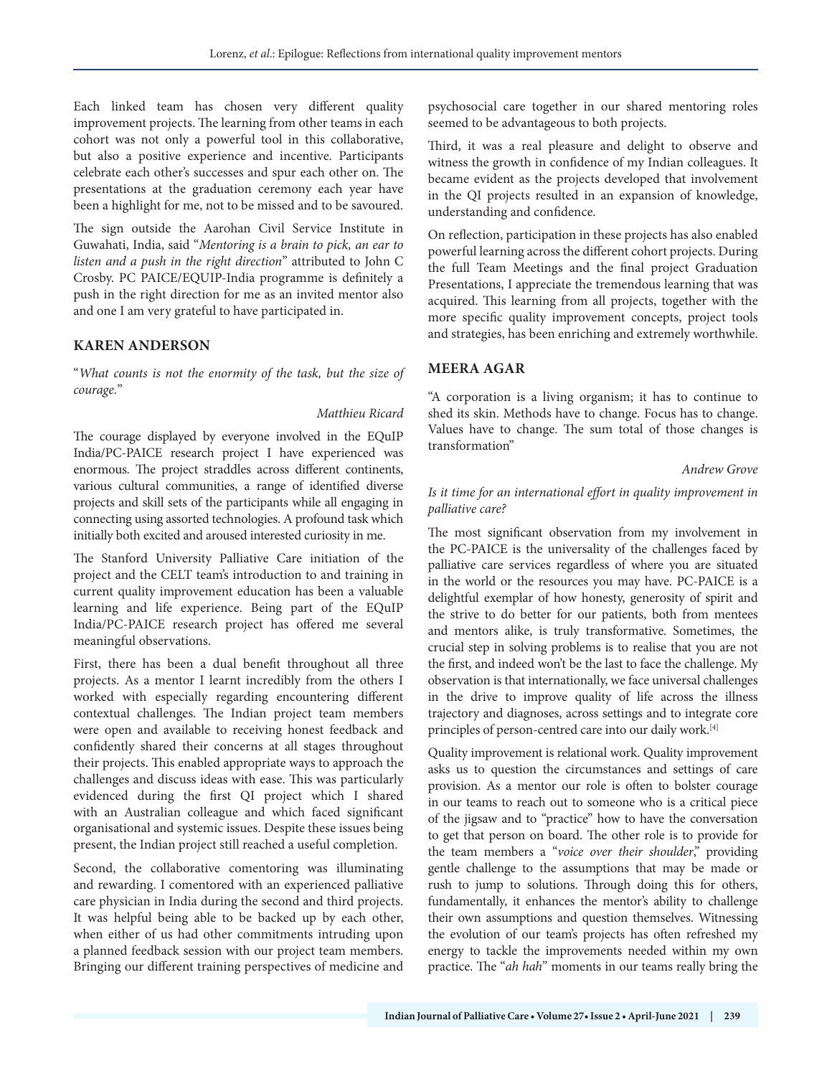Each linked team has chosen very different quality improvement projects. The learning from other teams in each cohort was not only a powerful tool in this collaborative, but also a positive experience and incentive. Participants celebrate each other's successes and spur each other on. The presentations at the graduation ceremony each year have been a highlight for me, not to be missed and to be savoured.

The sign outside the Aarohan Civil Service Institute in Guwahati, India, said "*Mentoring is a brain to pick, an ear to listen and a push in the right direction*" attributed to John C Crosby. PC PAICE/EQUIP-India programme is definitely a push in the right direction for me as an invited mentor also and one I am very grateful to have participated in.

# **KAREN ANDERSON**

"*What counts is not the enormity of the task, but the size of courage.*"

#### *Matthieu Ricard*

The courage displayed by everyone involved in the EQuIP India/PC-PAICE research project I have experienced was enormous. The project straddles across different continents, various cultural communities, a range of identified diverse projects and skill sets of the participants while all engaging in connecting using assorted technologies. A profound task which initially both excited and aroused interested curiosity in me.

The Stanford University Palliative Care initiation of the project and the CELT team's introduction to and training in current quality improvement education has been a valuable learning and life experience. Being part of the EQuIP India/PC-PAICE research project has offered me several meaningful observations.

First, there has been a dual benefit throughout all three projects. As a mentor I learnt incredibly from the others I worked with especially regarding encountering different contextual challenges. The Indian project team members were open and available to receiving honest feedback and confidently shared their concerns at all stages throughout their projects. This enabled appropriate ways to approach the challenges and discuss ideas with ease. This was particularly evidenced during the first QI project which I shared with an Australian colleague and which faced significant organisational and systemic issues. Despite these issues being present, the Indian project still reached a useful completion.

Second, the collaborative comentoring was illuminating and rewarding. I comentored with an experienced palliative care physician in India during the second and third projects. It was helpful being able to be backed up by each other, when either of us had other commitments intruding upon a planned feedback session with our project team members. Bringing our different training perspectives of medicine and

psychosocial care together in our shared mentoring roles seemed to be advantageous to both projects.

Third, it was a real pleasure and delight to observe and witness the growth in confidence of my Indian colleagues. It became evident as the projects developed that involvement in the QI projects resulted in an expansion of knowledge, understanding and confidence.

On reflection, participation in these projects has also enabled powerful learning across the different cohort projects. During the full Team Meetings and the final project Graduation Presentations, I appreciate the tremendous learning that was acquired. This learning from all projects, together with the more specific quality improvement concepts, project tools and strategies, has been enriching and extremely worthwhile.

# **MEERA AGAR**

"A corporation is a living organism; it has to continue to shed its skin. Methods have to change. Focus has to change. Values have to change. The sum total of those changes is transformation"

#### *Andrew Grove*

# *Is it time for an international effort in quality improvement in palliative care?*

The most significant observation from my involvement in the PC-PAICE is the universality of the challenges faced by palliative care services regardless of where you are situated in the world or the resources you may have. PC-PAICE is a delightful exemplar of how honesty, generosity of spirit and the strive to do better for our patients, both from mentees and mentors alike, is truly transformative. Sometimes, the crucial step in solving problems is to realise that you are not the first, and indeed won't be the last to face the challenge. My observation is that internationally, we face universal challenges in the drive to improve quality of life across the illness trajectory and diagnoses, across settings and to integrate core principles of person-centred care into our daily work.[4]

Quality improvement is relational work. Quality improvement asks us to question the circumstances and settings of care provision. As a mentor our role is often to bolster courage in our teams to reach out to someone who is a critical piece of the jigsaw and to "practice" how to have the conversation to get that person on board. The other role is to provide for the team members a "*voice over their shoulder*," providing gentle challenge to the assumptions that may be made or rush to jump to solutions. Through doing this for others, fundamentally, it enhances the mentor's ability to challenge their own assumptions and question themselves. Witnessing the evolution of our team's projects has often refreshed my energy to tackle the improvements needed within my own practice. The "*ah hah*" moments in our teams really bring the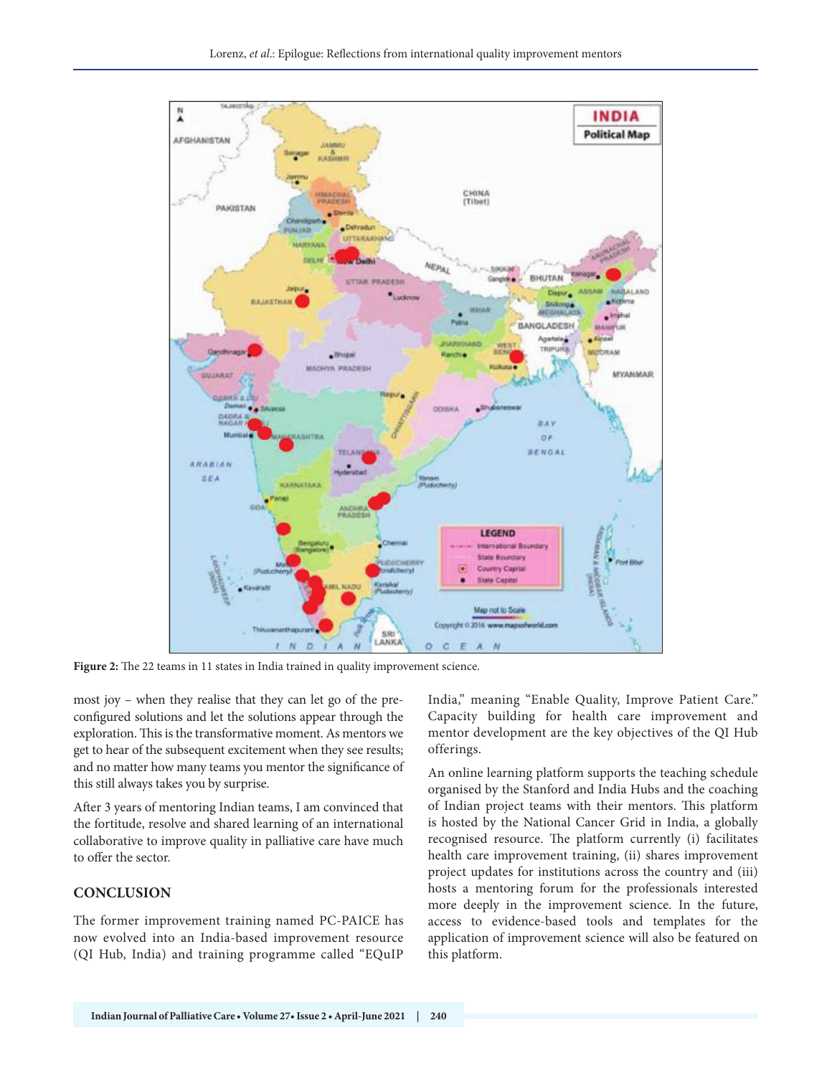

**Figure 2:** The 22 teams in 11 states in India trained in quality improvement science.

most joy – when they realise that they can let go of the preconfigured solutions and let the solutions appear through the exploration. This is the transformative moment. As mentors we get to hear of the subsequent excitement when they see results; and no matter how many teams you mentor the significance of this still always takes you by surprise.

After 3 years of mentoring Indian teams, I am convinced that the fortitude, resolve and shared learning of an international collaborative to improve quality in palliative care have much to offer the sector.

#### **CONCLUSION**

The former improvement training named PC-PAICE has now evolved into an India-based improvement resource (QI Hub, India) and training programme called "EQuIP

India," meaning "Enable Quality, Improve Patient Care." Capacity building for health care improvement and mentor development are the key objectives of the QI Hub offerings.

An online learning platform supports the teaching schedule organised by the Stanford and India Hubs and the coaching of Indian project teams with their mentors. This platform is hosted by the National Cancer Grid in India, a globally recognised resource. The platform currently (i) facilitates health care improvement training, (ii) shares improvement project updates for institutions across the country and (iii) hosts a mentoring forum for the professionals interested more deeply in the improvement science. In the future, access to evidence-based tools and templates for the application of improvement science will also be featured on this platform.